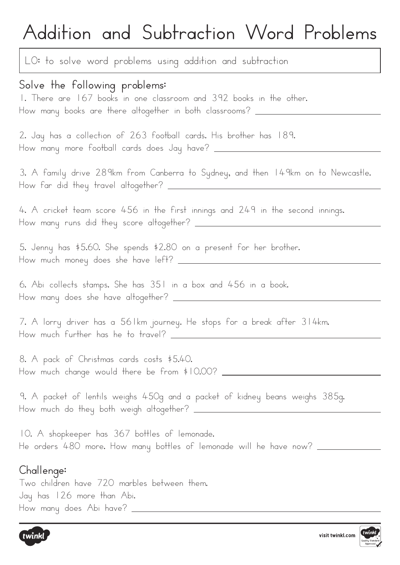# **Addition and Subtraction Word Problems**

LO: to solve word problems using addition and subtraction

### **Solve the following problems:**

1. There are 167 books in one classroom and 392 books in the other. How many books are there altogether in both classrooms? \_\_\_\_\_\_\_\_\_\_\_\_\_\_\_\_\_\_\_\_\_\_\_\_

2. Jay has a collection of 263 football cards. His brother has 189. How many more football cards does Jay have?

3. A family drive 289km from Canberra to Sydney, and then 149km on to Newcastle. How far did they travel altogether?

4. A cricket team score 456 in the first innings and 249 in the second innings. How many runs did they score altogether?

5. Jenny has \$5.60. She spends \$2.80 on a present for her brother. How much money does she have left?

6. Abi collects stamps. She has 351 in a box and 456 in a book. How many does she have altogether?

7. A lorry driver has a 561km journey. He stops for a break after 314km. How much further has he to travel?

8. A pack of Christmas cards costs \$5.40. How much change would there be from \$10.00?

9. A packet of lentils weighs 450g and a packet of kidney beans weighs 385g. How much do they both weigh altogether?

10. A shopkeeper has 367 bottles of lemonade. He orders 480 more. How many bottles of lemonade will he have now? \_\_\_\_\_\_\_\_\_\_\_\_\_

#### **Challenge:**

Two children have 720 marbles between them. Jay has 126 more than Abi. How many does Abi have?